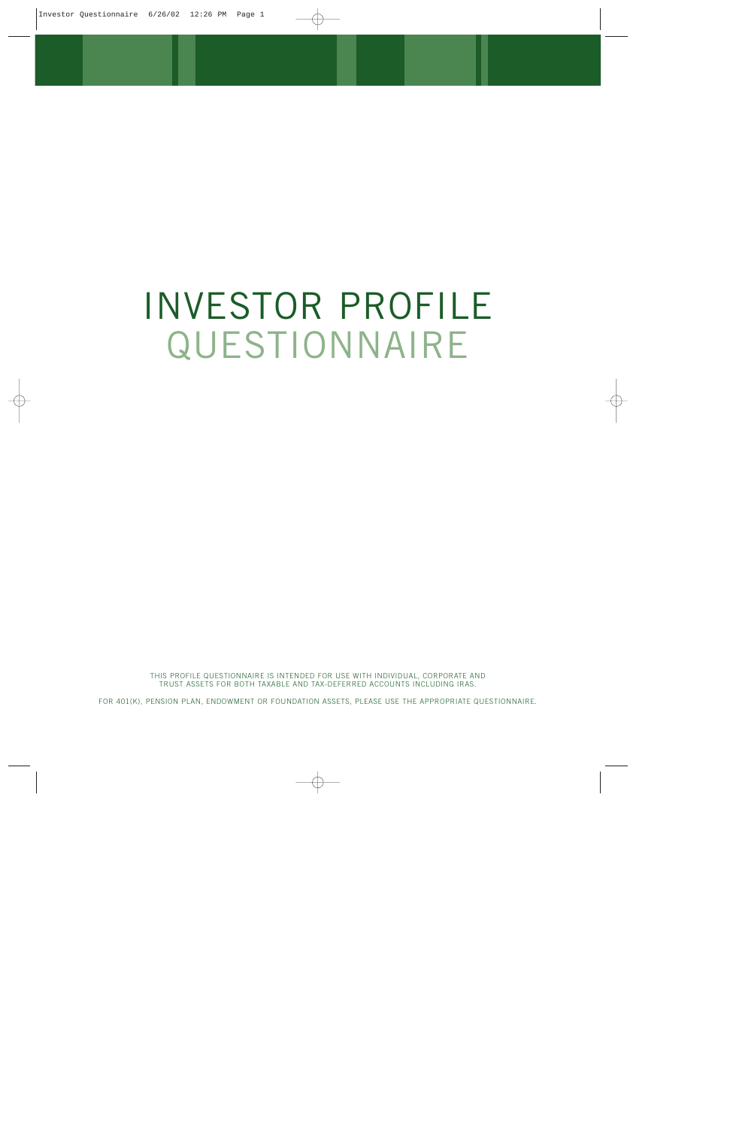# INVESTOR PROFILE QUESTIONNAIRE

THIS PROFILE QUESTIONNAIRE IS INTENDED FOR USE WITH INDIVIDUAL, CORPORATE AND TRUST ASSETS FOR BOTH TAXABLE AND TAX-DEFERRED ACCOUNTS INCLUDING IRAS.

FOR 401(K), PENSION PLAN, ENDOWMENT OR FOUNDATION ASSETS, PLEASE USE THE APPROPRIATE QUESTIONNAIRE.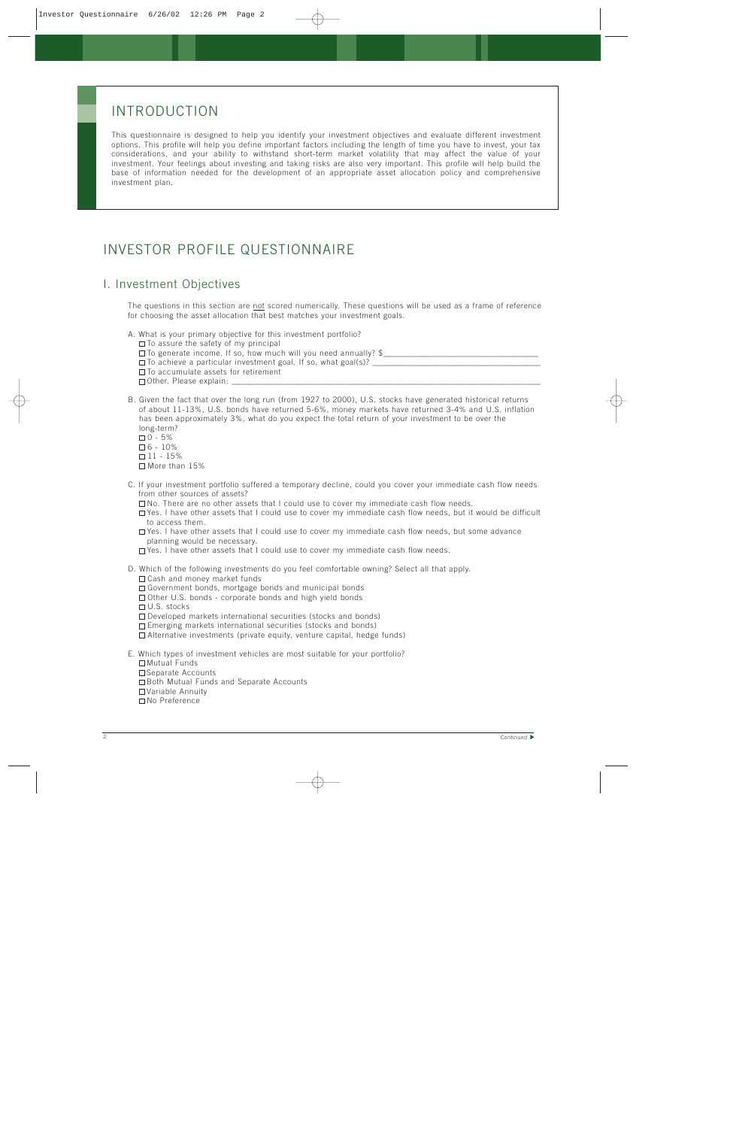## INTRODUCTION

This questionnaire is designed to help you identify your investment objectives and evaluate different investment options. This profile will help you define important factors including the length of time you have to invest, your tax considerations, and your ability to withstand short-term market volatility that may affect the value of your investment. Your feelings about investing and taking risks are also very important. This profile will help build the base of information needed for the development of an appropriate asset allocation policy and comprehensive investment plan.

# INVESTOR PROFILE QUESTIONNAIRE

### I. Investment Objectives

The questions in this section are not scored numerically. These questions will be used as a frame of reference for choosing the asset allocation that best matches your investment goals.

| A. What is your primary objective for this investment portfolio?      |
|-----------------------------------------------------------------------|
| $\Box$ To assure the safety of my principal                           |
| $\Box$ To generate income. If so, how much will you need annually? \$ |
| $\Box$ To achieve a particular investment goal. If so, what goal(s)?  |
| $\Box$ To accumulate assets for retirement                            |
| $\Box$ Other. Please explain:                                         |

- B. Given the fact that over the long run (from 1927 to 2000), U.S. stocks have generated historical returns of about 11-13%, U.S. bonds have returned 5-6%, money markets have returned 3-4% and U.S. inflation has been approximately 3%, what do you expect the total return of your investment to be over the long-term?
	- $0 5%$  $\square$  6 - 10%
	- $\square$  11 15%
	- □ More than 15%
- C. If your investment portfolio suffered a temporary decline, could you cover your immediate cash flow needs from other sources of assets?
	- $\Box$  No. There are no other assets that I could use to cover my immediate cash flow needs.

 $\Box$  Yes. I have other assets that I could use to cover my immediate cash flow needs, but it would be difficult to access them.

- $\Box$  Yes. I have other assets that I could use to cover my immediate cash flow needs, but some advance planning would be necessary.
- $\Box$  Yes. I have other assets that I could use to cover my immediate cash flow needs.
- D. Which of the following investments do you feel comfortable owning? Select all that apply. □ Cash and money market funds  $\Box$  Government bonds, mortgage bonds and municipal bonds  $\Box$  Other U.S. bonds - corporate bonds and high yield bonds □ U.S. stocks
	- $\Box$  Developed markets international securities (stocks and bonds)
	- $\Box$  Emerging markets international securities (stocks and bonds)
	- $\Box$  Alternative investments (private equity, venture capital, hedge funds)

E. Which types of investment vehicles are most suitable for your portfolio? □ Mutual Funds □ Separate Accounts □ Both Mutual Funds and Separate Accounts Variable Annuity No Preference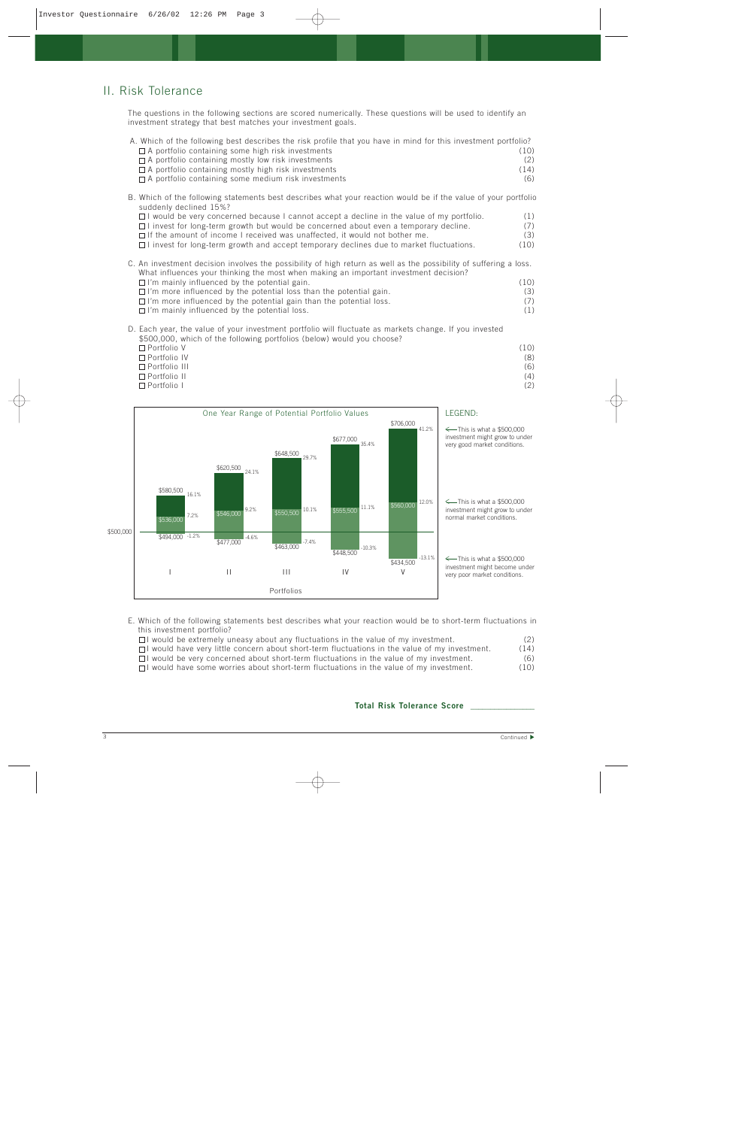## II. Risk Tolerance

The questions in the following sections are scored numerically. These questions will be used to identify an investment strategy that best matches your investment goals.

| A. Which of the following best describes the risk profile that you have in mind for this investment portfolio? |      |
|----------------------------------------------------------------------------------------------------------------|------|
| $\Box$ A portfolio containing some high risk investments                                                       | (10) |
| $\Box$ A portfolio containing mostly low risk investments                                                      |      |
| $\Box$ A portfolio containing mostly high risk investments                                                     | (14) |
| $\Box$ A portfolio containing some medium risk investments                                                     | (6)  |
|                                                                                                                |      |

- B. Which of the following statements best describes what your reaction would be if the value of your portfolio suddenly declined 15%?
	- $\Box$  I would be very concerned because I cannot accept a decline in the value of my portfolio.  $(1)$  $\Box$  I invest for long-term growth but would be concerned about even a temporary decline. (7)  $\Box$  If the amount of income I received was unaffected, it would not bother me. (3)
	- $\Box$  I invest for long-term growth and accept temporary declines due to market fluctuations. (10)
- C. An investment decision involves the possibility of high return as well as the possibility of suffering a loss. What influences your thinking the most when making an important investment decision?
	- $\square$  I'm mainly influenced by the potential gain. (10)<br> $\square$  I'm more influenced by the potential loss than the potential gain. (3)  $\Box$  I'm more influenced by the potential loss than the potential gain.  $\Box$  I'm more influenced by the potential gain than the potential loss. (7)  $\Box$  I'm mainly influenced by the potential loss. (1)
- D. Each year, the value of your investment portfolio will fluctuate as markets change. If you invested \$500,000, which of the following portfolios (below) would you choose? Portfolio V (10) Portfolio IV (8)
	- Portfolio III (6) Portfolio II (4) Portfolio I (2)



- E. Which of the following statements best describes what your reaction would be to short-term fluctuations in this investment portfolio?
	- $\Box$  I would be extremely uneasy about any fluctuations in the value of my investment.  $\Box$  $\Box$  I would have very little concern about short-term fluctuations in the value of my investment. (14)
	- $\Box$  I would be very concerned about short-term fluctuations in the value of my investment. (6)
	- $\Box$  I would have some worries about short-term fluctuations in the value of my investment. (10)

#### **Total Risk Tolerance Score \_\_\_\_\_\_\_\_\_\_\_\_\_\_\_\_**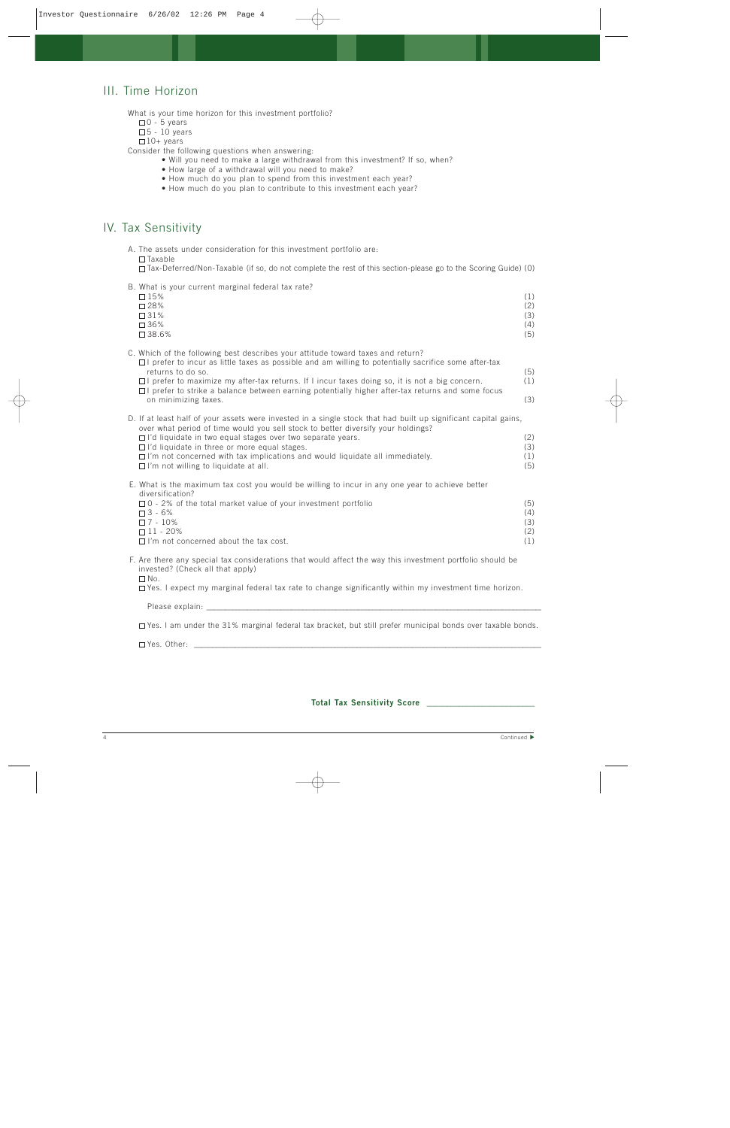## III. Time Horizon

What is your time horizon for this investment portfolio?

 $\square$  0 - 5 years

 $\square$  5 - 10 years

 $\square$  10+ years

Consider the following questions when answering:

- Will you need to make a large withdrawal from this investment? If so, when?
- How large of a withdrawal will you need to make?
- How much do you plan to spend from this investment each year?
- How much do you plan to contribute to this investment each year?

### IV. Tax Sensitivity

A. The assets under consideration for this investment portfolio are:  $\Box$ Taxable

Tax-Deferred/Non-Taxable (if so, do not complete the rest of this section-please go to the Scoring Guide) (0)

B. What is your current marginal federal tax rate?

| D. WHAT IS YOUR CUITOIR INDIANIAI ICACIDI RAY IURO.<br>$\square$ 15%<br>$\square$ 28%<br>$\square$ 31%<br>$\square$ 36%<br>$\square$ 38.6%                                                                                                                                                                                                                                                                                                                            | (1)<br>(2)<br>(3)<br>(4)<br>(5) |
|-----------------------------------------------------------------------------------------------------------------------------------------------------------------------------------------------------------------------------------------------------------------------------------------------------------------------------------------------------------------------------------------------------------------------------------------------------------------------|---------------------------------|
| C. Which of the following best describes your attitude toward taxes and return?<br>$\Box$ I prefer to incur as little taxes as possible and am willing to potentially sacrifice some after-tax<br>returns to do so.<br>$\Box$ I prefer to maximize my after-tax returns. If I incur taxes doing so, it is not a big concern.<br>$\Box$ I prefer to strike a balance between earning potentially higher after-tax returns and some focus<br>on minimizing taxes.       | (5)<br>(1)<br>(3)               |
| D. If at least half of your assets were invested in a single stock that had built up significant capital gains,<br>over what period of time would you sell stock to better diversify your holdings?<br>$\Box$ I'd liquidate in two equal stages over two separate years.<br>$\Box$ I'd liquidate in three or more equal stages.<br>$\Box$ I'm not concerned with tax implications and would liquidate all immediately.<br>$\Box$ I'm not willing to liquidate at all. | (2)<br>(3)<br>(1)<br>(5)        |
| E. What is the maximum tax cost you would be willing to incur in any one year to achieve better<br>diversification?<br>$\Box$ 0 - 2% of the total market value of your investment portfolio<br>$\Box$ 3 - 6%<br>$\square$ 7 - 10%<br>$\Box$ 11 - 20%<br>$\Box$ I'm not concerned about the tax cost.                                                                                                                                                                  | (5)<br>(4)<br>(3)<br>(2)<br>(1) |
| F. Are there any special tax considerations that would affect the way this investment portfolio should be                                                                                                                                                                                                                                                                                                                                                             |                                 |

F. Are there any special tax considerations that would affect the way this investment portfolio should be invested? (Check all that apply)

 $\square$  No.  $\Box$  Yes. I expect my marginal federal tax rate to change significantly within my investment time horizon.

Please explain: \_

Yes. I am under the 31% marginal federal tax bracket, but still prefer municipal bonds over taxable bonds.

 $\Box$  Yes. Other:  $\Box$ 

#### **Total Tax Sensitivity Score \_\_\_\_\_\_\_\_\_\_\_\_\_\_\_\_\_\_\_\_\_\_\_\_\_\_\_**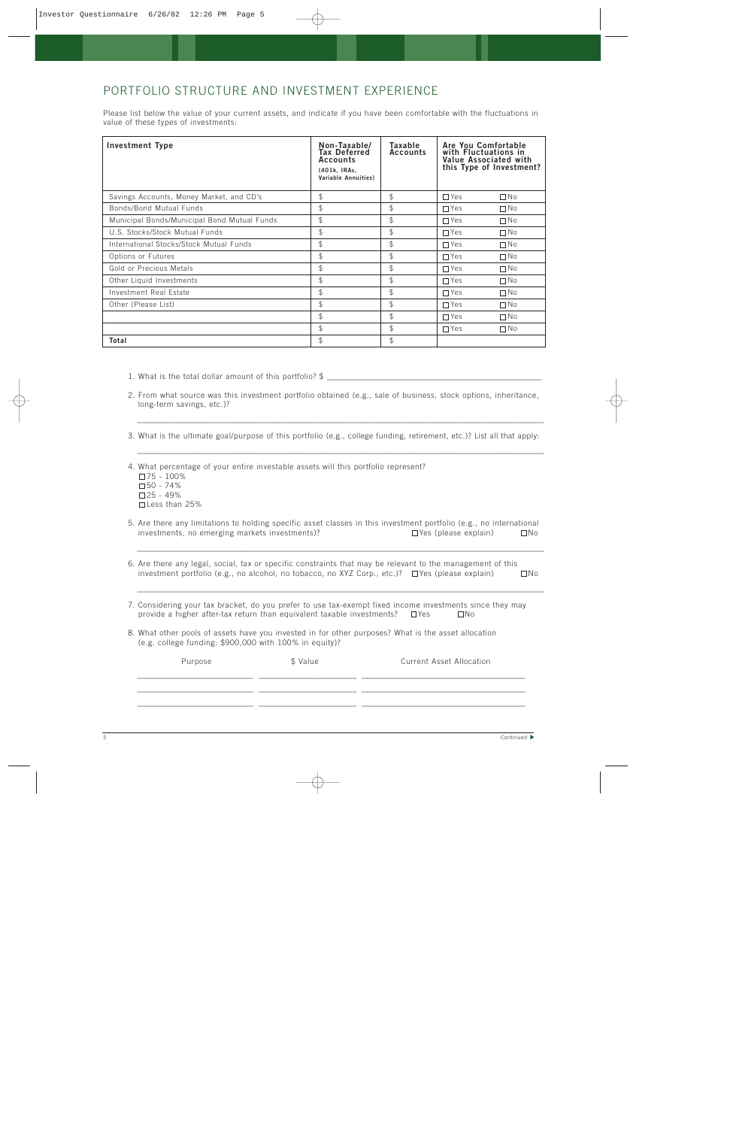## PORTFOLIO STRUCTURE AND INVESTMENT EXPERIENCE

Please list below the value of your current assets, and indicate if you have been comfortable with the fluctuations in value of these types of investments:

| Investment Type                             | Non-Taxable/<br><b>Tax Deferred</b><br><b>Accounts</b><br>(401k, IRAs,<br>Variable Annuities) | Taxable<br>Accounts | Are You Comfortable<br>with Fluctuations in<br>Value Associated with<br>this Type of Investment? |
|---------------------------------------------|-----------------------------------------------------------------------------------------------|---------------------|--------------------------------------------------------------------------------------------------|
| Savings Accounts, Money Market, and CD's    | \$                                                                                            | \$                  | $\Box$ Yes<br>$\Box$ No                                                                          |
| Bonds/Bond Mutual Funds                     | \$                                                                                            | $\textcircled{f}$   | $\Box$ Yes<br>$\Box$ No                                                                          |
| Municipal Bonds/Municipal Bond Mutual Funds | \$                                                                                            | \$                  | $\Box$ No<br>$\Box$ Yes                                                                          |
| U.S. Stocks/Stock Mutual Funds              | \$                                                                                            | \$                  | $\Box$ Yes<br>$\Box$ No                                                                          |
| International Stocks/Stock Mutual Funds     | \$                                                                                            | \$                  | $\Box$ Yes<br>$\Box$ No                                                                          |
| Options or Futures                          | \$                                                                                            | $\mathcal{P}$       | $\Box$ Yes<br>$\Box$ No                                                                          |
| Gold or Precious Metals                     | \$                                                                                            | \$                  | $\Box$ Yes<br>$\Box$ No                                                                          |
| Other Liquid Investments                    | \$                                                                                            | \$                  | $\Box$ No<br>$\Box$ Yes                                                                          |
| Investment Real Estate                      | \$                                                                                            | \$                  | $\Box$ Yes<br>$\Box$ No                                                                          |
| Other (Please List)                         | \$                                                                                            | $\textcircled{f}$   | $\Box$ Yes<br>$\Box$ No                                                                          |
|                                             | \$                                                                                            | $\mathcal{P}$       | $\Box$ Yes<br>$\Box$ No                                                                          |
|                                             | \$                                                                                            | $\textcircled{f}$   | $\Box$ Yes<br>$\Box$ No                                                                          |
| Total                                       | \$                                                                                            | \$                  |                                                                                                  |

1. What is the total dollar amount of this portfolio?  $\frac{1}{2}$ 

2. From what source was this investment portfolio obtained (e.g., sale of business, stock options, inheritance, long-term savings, etc.)?

3. What is the ultimate goal/purpose of this portfolio (e.g., college funding, retirement, etc.)? List all that apply:

\_\_\_\_\_\_\_\_\_\_\_\_\_\_\_\_\_\_\_\_\_\_\_\_\_\_\_\_\_\_\_\_\_\_\_\_\_\_\_\_\_\_\_\_\_\_\_\_\_\_\_\_\_\_\_\_\_\_\_\_\_\_\_\_\_\_\_\_\_\_\_\_\_\_\_\_\_\_\_\_\_\_\_\_\_\_\_\_\_\_\_\_\_\_\_\_\_\_\_\_\_\_\_\_\_\_\_\_\_\_

\_\_\_\_\_\_\_\_\_\_\_\_\_\_\_\_\_\_\_\_\_\_\_\_\_\_\_\_\_\_\_\_\_\_\_\_\_\_\_\_\_\_\_\_\_\_\_\_\_\_\_\_\_\_\_\_\_\_\_\_\_\_\_\_\_\_\_\_\_\_\_\_\_\_\_\_\_\_\_\_\_\_\_\_\_\_\_\_\_\_\_\_\_\_\_\_\_\_\_\_\_\_\_\_\_\_\_\_\_\_

4. What percentage of your entire investable assets will this portfolio represent? 75 - 100% 50 - 74%  $\square$  25 - 49% Less than 25%

5. Are there any limitations to holding specific asset classes in this investment portfolio (e.g., no international investments, no emerging markets investments)?  $\Box$  Yes (please explain)  $\Box$  No

\_\_\_\_\_\_\_\_\_\_\_\_\_\_\_\_\_\_\_\_\_\_\_\_\_\_\_\_\_\_\_\_\_\_\_\_\_\_\_\_\_\_\_\_\_\_\_\_\_\_\_\_\_\_\_\_\_\_\_\_\_\_\_\_\_\_\_\_\_\_\_\_\_\_\_\_\_\_\_\_\_\_\_\_\_\_\_\_\_\_\_\_\_\_\_\_\_\_\_\_\_\_\_\_\_\_\_\_\_\_

\_\_\_\_\_\_\_\_\_\_\_\_\_\_\_\_\_\_\_\_\_\_\_\_\_\_\_\_\_\_\_\_\_\_\_\_\_\_\_\_\_\_\_\_\_\_\_\_\_\_\_\_\_\_\_\_\_\_\_\_\_\_\_\_\_\_\_\_\_\_\_\_\_\_\_\_\_\_\_\_\_\_\_\_\_\_\_\_\_\_\_\_\_\_\_\_\_\_\_\_\_\_\_\_\_\_\_\_\_\_

6. Are there any legal, social, tax or specific constraints that may be relevant to the management of this investment portfolio (e.g., no alcohol, no tobacco, no XYZ Corp., etc.)?  $\Box$  Yes (please explain)  $\Box$  No

7. Considering your tax bracket, do you prefer to use tax-exempt fixed income investments since they may provide a higher after-tax return than equivalent taxable investments?  $\Box$  Yes  $\Box$  No

8. What other pools of assets have you invested in for other purposes? What is the asset allocation (e.g. college funding: \$900,000 with 100% in equity)?

| Purpose | \$ Value | <b>Current Asset Allocation</b> |
|---------|----------|---------------------------------|
|         |          |                                 |
|         |          |                                 |
|         |          |                                 |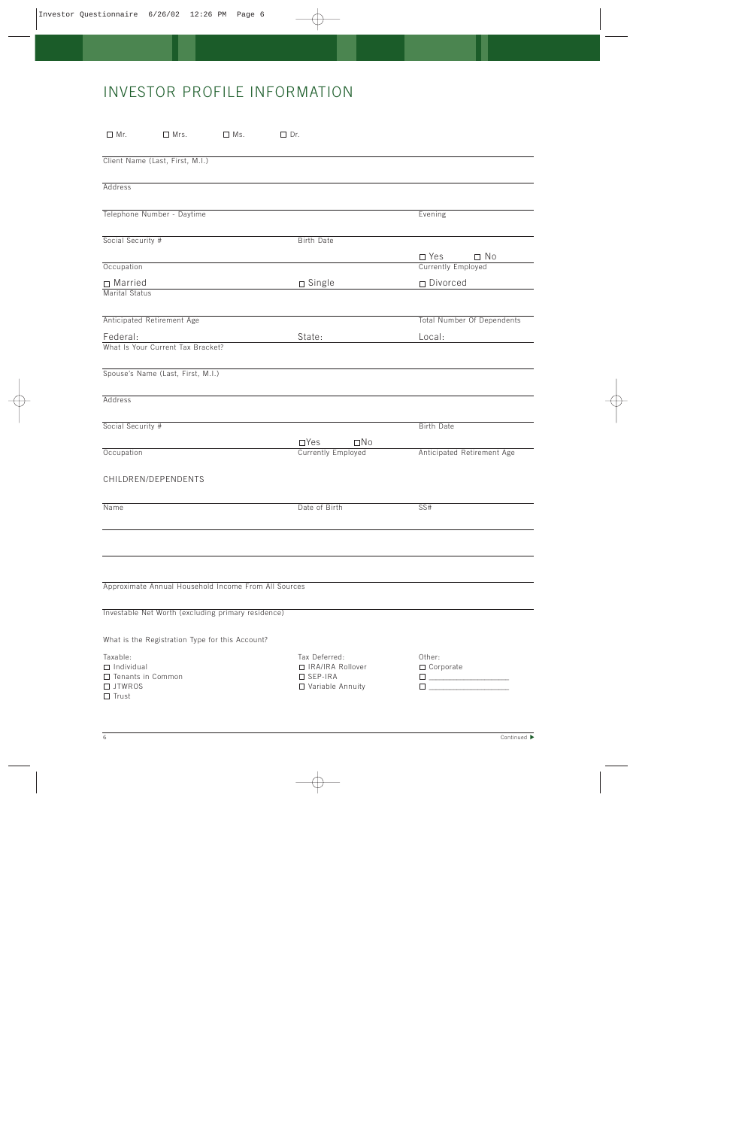# INVESTOR PROFILE INFORMATION

| $\Box$ Mr.<br>$\Box$ Mrs.<br>$\Box$ Ms.                                               | $\Box$ Dr.                                                             |                                                                                                                                                                                                                                                               |
|---------------------------------------------------------------------------------------|------------------------------------------------------------------------|---------------------------------------------------------------------------------------------------------------------------------------------------------------------------------------------------------------------------------------------------------------|
| Client Name (Last, First, M.I.)                                                       |                                                                        |                                                                                                                                                                                                                                                               |
| Address                                                                               |                                                                        |                                                                                                                                                                                                                                                               |
| Telephone Number - Daytime                                                            |                                                                        | Evening                                                                                                                                                                                                                                                       |
| Social Security #                                                                     | <b>Birth Date</b>                                                      |                                                                                                                                                                                                                                                               |
|                                                                                       |                                                                        | $\square$ Yes<br>$\square$ No                                                                                                                                                                                                                                 |
| Occupation                                                                            |                                                                        | <b>Currently Employed</b>                                                                                                                                                                                                                                     |
| $\Box$ Married<br>Marital Status                                                      | $\square$ Single                                                       | □ Divorced                                                                                                                                                                                                                                                    |
|                                                                                       |                                                                        |                                                                                                                                                                                                                                                               |
| Anticipated Retirement Age                                                            |                                                                        | <b>Total Number Of Dependents</b>                                                                                                                                                                                                                             |
| Federal:                                                                              | State:                                                                 | Local:                                                                                                                                                                                                                                                        |
| What Is Your Current Tax Bracket?                                                     |                                                                        |                                                                                                                                                                                                                                                               |
| Spouse's Name (Last, First, M.I.)                                                     |                                                                        |                                                                                                                                                                                                                                                               |
| Address                                                                               |                                                                        |                                                                                                                                                                                                                                                               |
| Social Security #                                                                     |                                                                        | <b>Birth Date</b>                                                                                                                                                                                                                                             |
|                                                                                       | $\Box$ Yes<br>$\square$ No                                             |                                                                                                                                                                                                                                                               |
| Occupation                                                                            | <b>Currently Employed</b>                                              | Anticipated Retirement Age                                                                                                                                                                                                                                    |
| CHILDREN/DEPENDENTS                                                                   |                                                                        |                                                                                                                                                                                                                                                               |
| Name                                                                                  | Date of Birth                                                          | SS#                                                                                                                                                                                                                                                           |
|                                                                                       |                                                                        |                                                                                                                                                                                                                                                               |
| Approximate Annual Household Income From All Sources                                  |                                                                        |                                                                                                                                                                                                                                                               |
|                                                                                       |                                                                        |                                                                                                                                                                                                                                                               |
| Investable Net Worth (excluding primary residence)                                    |                                                                        |                                                                                                                                                                                                                                                               |
| What is the Registration Type for this Account?                                       |                                                                        |                                                                                                                                                                                                                                                               |
| Taxable:<br>$\Box$ Individual<br>$\Box$ Tenants in Common<br>□ JTWROS<br>$\Box$ Trust | Tax Deferred:<br>□ IRA/IRA Rollover<br>□ SEP-IRA<br>□ Variable Annuity | Other:<br>$\Box$ Corporate<br>$\Box$ , and the set of the set of the set of the set of the set of the set of the set of the set of the set of the set of the set of the set of the set of the set of the set of the set of the set of the set of the set of t |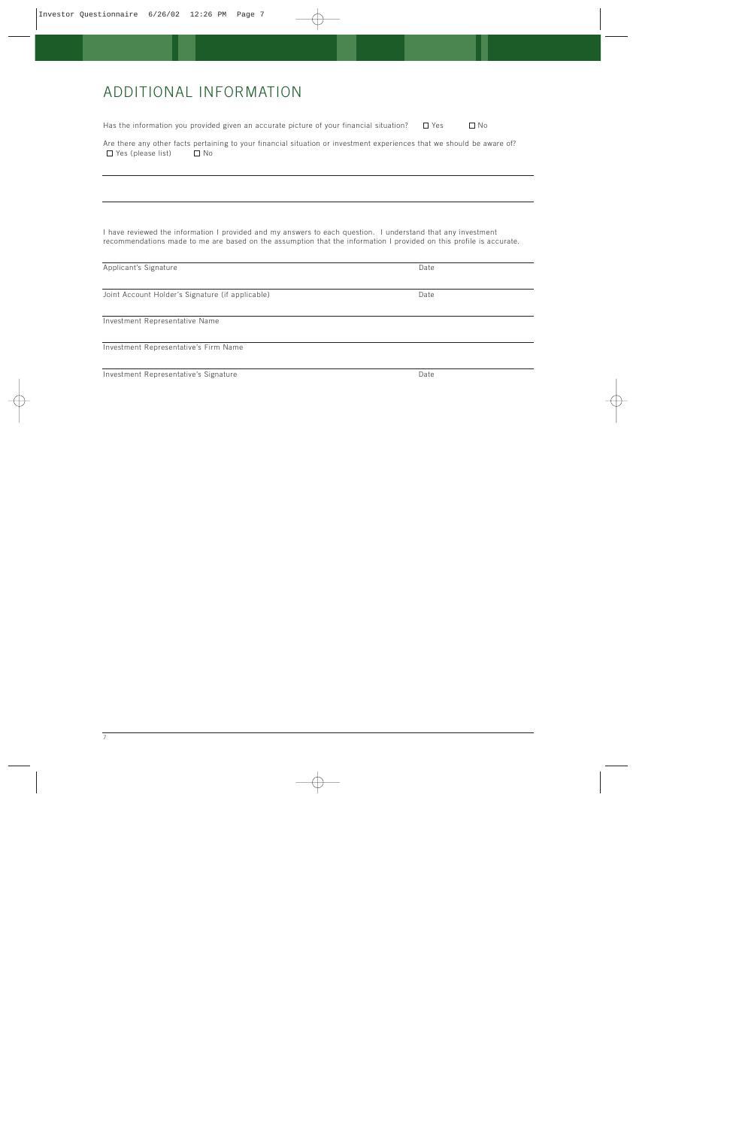# ADDITIONAL INFORMATION

Has the information you provided given an accurate picture of your financial situation?  $\Box$  Yes  $\Box$  No

Are there any other facts pertaining to your financial situation or investment experiences that we should be aware of?  $\Box$  Yes (please list)  $\Box$  No

I have reviewed the information I provided and my answers to each question. I understand that any investment recommendations made to me are based on the assumption that the information I provided on this profile is accurate.

| Date |  |
|------|--|
| Date |  |
|      |  |
|      |  |
| Date |  |
|      |  |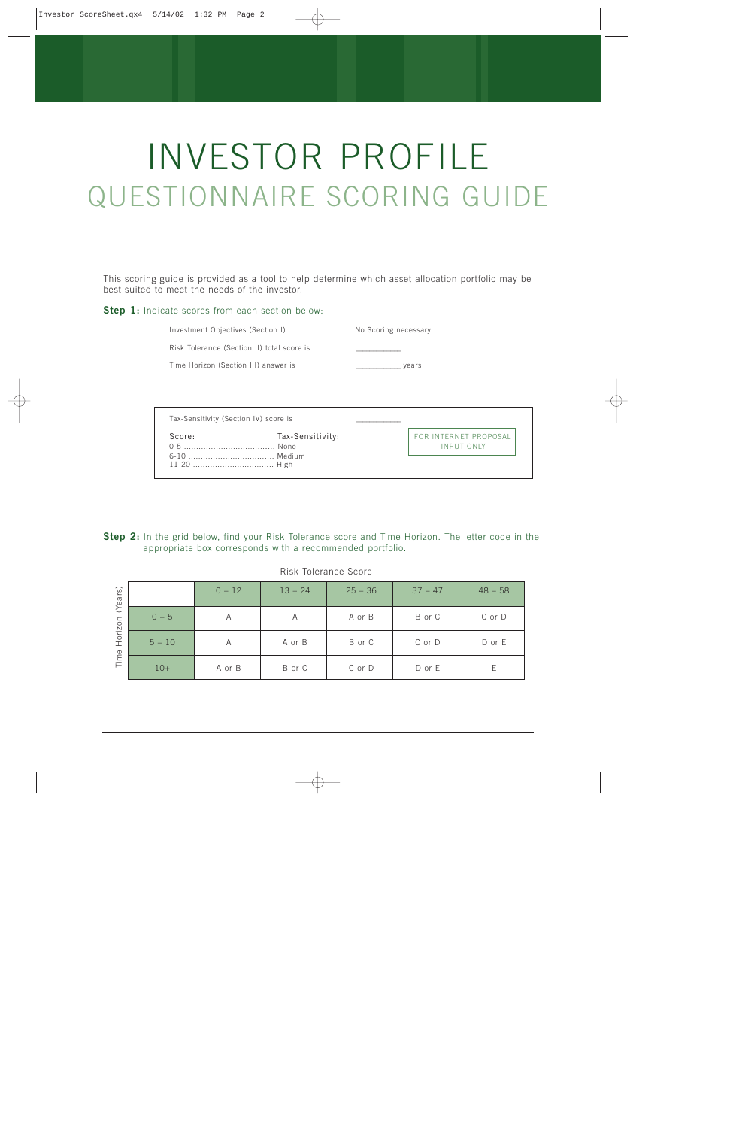# INVESTOR PROFILE QUESTIONNAIRE SCORING GUIDE

This scoring guide is provided as a tool to help determine which asset allocation portfolio may be best suited to meet the needs of the investor.

#### **Step 1:** Indicate scores from each section below:

Investment Objectives (Section I) No Scoring necessary

Risk Tolerance (Section II) total score is

Time Horizon (Section III) answer is \_\_\_\_\_\_\_\_\_\_\_\_\_ years

| Tax-Sensitivity (Section IV) score is |                  |                                            |
|---------------------------------------|------------------|--------------------------------------------|
| Score:<br>$0 - 5$                     | Tax-Sensitivity: | FOR INTERNET PROPOSAL<br><b>INPUT ONLY</b> |
|                                       |                  |                                            |

|  |  |                                                           |  |  |  |  | Step 2: In the grid below, find your Risk Tolerance score and Time Horizon. The letter code in the |  |  |  |
|--|--|-----------------------------------------------------------|--|--|--|--|----------------------------------------------------------------------------------------------------|--|--|--|
|  |  | appropriate box corresponds with a recommended portfolio. |  |  |  |  |                                                                                                    |  |  |  |

#### Risk Tolerance Score

| r <sub>S</sub><br>(Year |          | $0 - 12$ | $13 - 24$ | $25 - 36$ | $37 - 47$ | $48 - 58$ |
|-------------------------|----------|----------|-----------|-----------|-----------|-----------|
|                         | $0 - 5$  | A        | A         | A or B    | B or C    | C or D    |
| Horizon                 | $5 - 10$ | Α        | A or B    | B or C    | C or D    | D or E    |
| Time                    | $10+$    | A or B   | B or C    | C or D    | D or E    |           |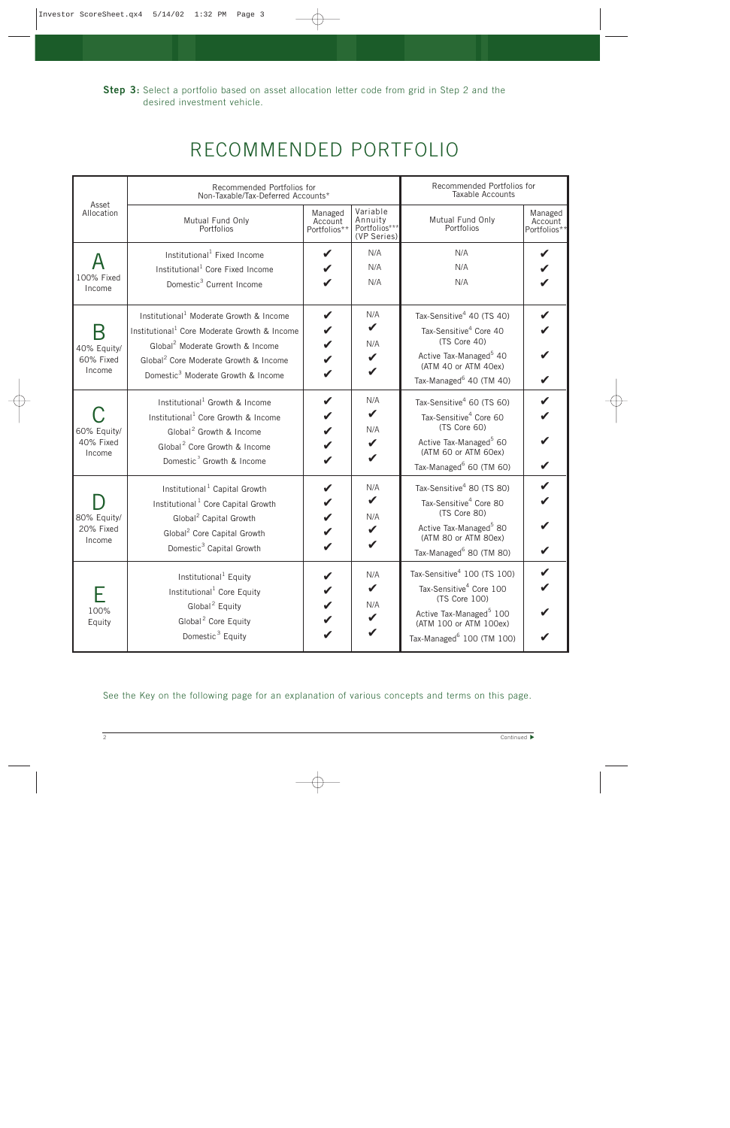| RECOMMENDED PORTFOLIO |  |
|-----------------------|--|
|-----------------------|--|

| Asset                              | Recommended Portfolios for<br>Non-Taxable/Tax-Deferred Accounts*                                                                                                                                                                                                       |                                    |                                                     | Recommended Portfolios for<br>Taxable Accounts                                                                                                                                                            |                                    |
|------------------------------------|------------------------------------------------------------------------------------------------------------------------------------------------------------------------------------------------------------------------------------------------------------------------|------------------------------------|-----------------------------------------------------|-----------------------------------------------------------------------------------------------------------------------------------------------------------------------------------------------------------|------------------------------------|
| Allocation                         | Mutual Fund Only<br>Portfolios                                                                                                                                                                                                                                         | Managed<br>Account<br>Portfolios** | Variable<br>Annuity<br>Portfolios***<br>(VP Series) | Mutual Fund Only<br>Portfolios                                                                                                                                                                            | Managed<br>Account<br>Portfolios** |
| 100% Fixed<br>Income               | Institutional <sup>1</sup> Fixed Income<br>Institutional <sup>1</sup> Core Fixed Income<br>Domestic <sup>3</sup> Current Income                                                                                                                                        | V                                  | N/A<br>N/A<br>N/A                                   | N/A<br>N/A<br>N/A                                                                                                                                                                                         |                                    |
| 40% Equity/<br>60% Fixed<br>Income | Institutional <sup>1</sup> Moderate Growth & Income<br>Institutional <sup>1</sup> Core Moderate Growth & Income<br>Global <sup>2</sup> Moderate Growth & Income<br>Global <sup>2</sup> Core Moderate Growth & Income<br>Domestic <sup>3</sup> Moderate Growth & Income |                                    | N/A<br>$\boldsymbol{\mathscr{C}}$<br>N/A<br>V<br>V  | Tax-Sensitive <sup>4</sup> 40 (TS 40)<br>Tax-Sensitive <sup>4</sup> Core 40<br>(TS Core 40)<br>Active Tax-Managed <sup>5</sup> 40<br>(ATM 40 or ATM 40ex)<br>Tax-Managed <sup>6</sup> 40 (TM 40)          |                                    |
| 60% Equity/<br>40% Fixed<br>Income | Institutional <sup>1</sup> Growth & Income<br>Institutional <sup>1</sup> Core Growth & Income<br>Global <sup>2</sup> Growth & Income<br>Global <sup>2</sup> Core Growth & Income<br>Domestic <sup>3</sup> Growth & Income                                              |                                    | N/A<br>$\boldsymbol{\mathscr{C}}$<br>N/A<br>V       | Tax-Sensitive <sup>4</sup> 60 (TS 60)<br>Tax-Sensitive <sup>4</sup> Core 60<br>(TS Core 60)<br>Active Tax-Managed <sup>5</sup> 60<br>(ATM 60 or ATM 60ex)<br>Tax-Managed <sup>6</sup> 60 (TM 60)          |                                    |
| 80% Equity/<br>20% Fixed<br>Income | Institutional <sup>1</sup> Capital Growth<br>Institutional <sup>1</sup> Core Capital Growth<br>Global <sup>2</sup> Capital Growth<br>Global <sup>2</sup> Core Capital Growth<br>Domestic <sup>3</sup> Capital Growth                                                   |                                    | N/A<br>$\mathbf{v}$<br>N/A<br>V                     | Tax-Sensitive <sup>4</sup> 80 (TS 80)<br>Tax-Sensitive <sup>4</sup> Core 80<br>(TS Core 80)<br>Active Tax-Managed <sup>5</sup> 80<br>(ATM 80 or ATM 80ex)<br>Tax-Managed <sup>6</sup> 80 (TM 80)          |                                    |
| 100%<br>Equity                     | Institutional <sup>1</sup> Equity<br>Institutional <sup>1</sup> Core Equity<br>Global <sup>2</sup> Equity<br>Global <sup>2</sup> Core Equity<br>Domestic <sup>3</sup> Equity                                                                                           |                                    | N/A<br>$\mathbf{v}$<br>N/A<br>V<br>V                | Tax-Sensitive <sup>4</sup> 100 (TS 100)<br>Tax-Sensitive <sup>4</sup> Core 100<br>(TS Core 100)<br>Active Tax-Managed <sup>5</sup> 100<br>(ATM 100 or ATM 100ex)<br>Tax-Managed <sup>6</sup> 100 (TM 100) | $\mathbf v$                        |

See the Key on the following page for an explanation of various concepts and terms on this page.